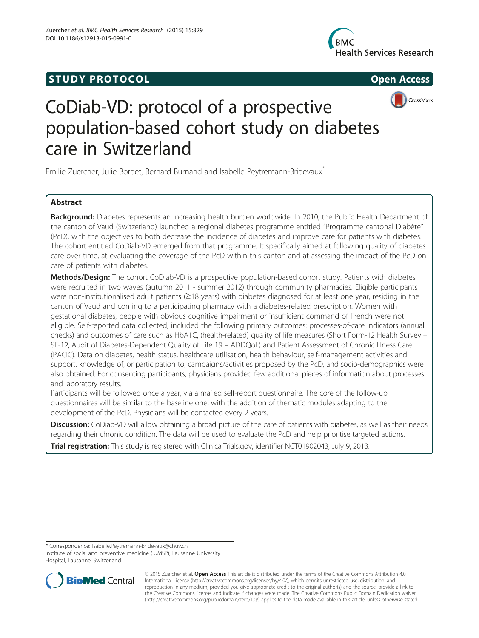







# CoDiab-VD: protocol of a prospective population-based cohort study on diabetes care in Switzerland

Emilie Zuercher, Julie Bordet, Bernard Burnand and Isabelle Peytremann-Bridevaux<sup>\*</sup>

# Abstract

Background: Diabetes represents an increasing health burden worldwide. In 2010, the Public Health Department of the canton of Vaud (Switzerland) launched a regional diabetes programme entitled "Programme cantonal Diabète" (PcD), with the objectives to both decrease the incidence of diabetes and improve care for patients with diabetes. The cohort entitled CoDiab-VD emerged from that programme. It specifically aimed at following quality of diabetes care over time, at evaluating the coverage of the PcD within this canton and at assessing the impact of the PcD on care of patients with diabetes.

Methods/Design: The cohort CoDiab-VD is a prospective population-based cohort study. Patients with diabetes were recruited in two waves (autumn 2011 - summer 2012) through community pharmacies. Eligible participants were non-institutionalised adult patients (≥18 years) with diabetes diagnosed for at least one year, residing in the canton of Vaud and coming to a participating pharmacy with a diabetes-related prescription. Women with gestational diabetes, people with obvious cognitive impairment or insufficient command of French were not eligible. Self-reported data collected, included the following primary outcomes: processes-of-care indicators (annual checks) and outcomes of care such as HbA1C, (health-related) quality of life measures (Short Form-12 Health Survey – SF-12, Audit of Diabetes-Dependent Quality of Life 19 – ADDQoL) and Patient Assessment of Chronic Illness Care (PACIC). Data on diabetes, health status, healthcare utilisation, health behaviour, self-management activities and support, knowledge of, or participation to, campaigns/activities proposed by the PcD, and socio-demographics were also obtained. For consenting participants, physicians provided few additional pieces of information about processes and laboratory results.

Participants will be followed once a year, via a mailed self-report questionnaire. The core of the follow-up questionnaires will be similar to the baseline one, with the addition of thematic modules adapting to the development of the PcD. Physicians will be contacted every 2 years.

Discussion: CoDiab-VD will allow obtaining a broad picture of the care of patients with diabetes, as well as their needs regarding their chronic condition. The data will be used to evaluate the PcD and help prioritise targeted actions.

Trial registration: This study is registered with ClinicalTrials.gov, identifier [NCT01902043](https://clinicaltrials.gov/ct2/show/NCT01902043), July 9, 2013.

\* Correspondence: [Isabelle.Peytremann-Bridevaux@chuv.ch](mailto:Isabelle.Peytremann-Bridevaux@chuv.ch) Institute of social and preventive medicine (IUMSP), Lausanne University Hospital, Lausanne, Switzerland



© 2015 Zuercher et al. Open Access This article is distributed under the terms of the Creative Commons Attribution 4.0 International License [\(http://creativecommons.org/licenses/by/4.0/](http://creativecommons.org/licenses/by/4.0/)), which permits unrestricted use, distribution, and reproduction in any medium, provided you give appropriate credit to the original author(s) and the source, provide a link to the Creative Commons license, and indicate if changes were made. The Creative Commons Public Domain Dedication waiver [\(http://creativecommons.org/publicdomain/zero/1.0/](http://creativecommons.org/publicdomain/zero/1.0/)) applies to the data made available in this article, unless otherwise stated.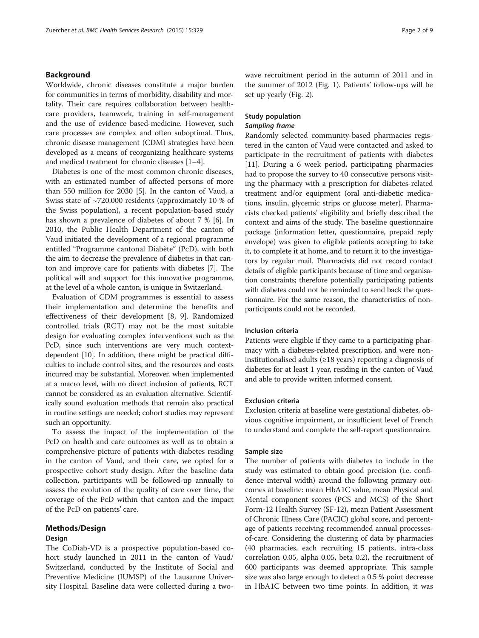#### Background

Worldwide, chronic diseases constitute a major burden for communities in terms of morbidity, disability and mortality. Their care requires collaboration between healthcare providers, teamwork, training in self-management and the use of evidence based-medicine. However, such care processes are complex and often suboptimal. Thus, chronic disease management (CDM) strategies have been developed as a means of reorganizing healthcare systems and medical treatment for chronic diseases [\[1](#page-7-0)–[4](#page-7-0)].

Diabetes is one of the most common chronic diseases, with an estimated number of affected persons of more than 550 million for 2030 [\[5](#page-7-0)]. In the canton of Vaud, a Swiss state of ~720.000 residents (approximately 10 % of the Swiss population), a recent population-based study has shown a prevalence of diabetes of about 7 % [[6\]](#page-7-0). In 2010, the Public Health Department of the canton of Vaud initiated the development of a regional programme entitled "Programme cantonal Diabète" (PcD), with both the aim to decrease the prevalence of diabetes in that canton and improve care for patients with diabetes [[7\]](#page-7-0). The political will and support for this innovative programme, at the level of a whole canton, is unique in Switzerland.

Evaluation of CDM programmes is essential to assess their implementation and determine the benefits and effectiveness of their development [[8, 9](#page-7-0)]. Randomized controlled trials (RCT) may not be the most suitable design for evaluating complex interventions such as the PcD, since such interventions are very much contextdependent [\[10\]](#page-7-0). In addition, there might be practical difficulties to include control sites, and the resources and costs incurred may be substantial. Moreover, when implemented at a macro level, with no direct inclusion of patients, RCT cannot be considered as an evaluation alternative. Scientifically sound evaluation methods that remain also practical in routine settings are needed; cohort studies may represent such an opportunity.

To assess the impact of the implementation of the PcD on health and care outcomes as well as to obtain a comprehensive picture of patients with diabetes residing in the canton of Vaud, and their care, we opted for a prospective cohort study design. After the baseline data collection, participants will be followed-up annually to assess the evolution of the quality of care over time, the coverage of the PcD within that canton and the impact of the PcD on patients' care.

#### Methods/Design

#### Design

The CoDiab-VD is a prospective population-based cohort study launched in 2011 in the canton of Vaud/ Switzerland, conducted by the Institute of Social and Preventive Medicine (IUMSP) of the Lausanne University Hospital. Baseline data were collected during a twowave recruitment period in the autumn of 2011 and in the summer of 2012 (Fig. [1](#page-2-0)). Patients' follow-ups will be set up yearly (Fig. [2\)](#page-2-0).

# Study population Sampling frame

Randomly selected community-based pharmacies registered in the canton of Vaud were contacted and asked to participate in the recruitment of patients with diabetes [[11\]](#page-7-0). During a 6 week period, participating pharmacies had to propose the survey to 40 consecutive persons visiting the pharmacy with a prescription for diabetes-related treatment and/or equipment (oral anti-diabetic medications, insulin, glycemic strips or glucose meter). Pharmacists checked patients' eligibility and briefly described the context and aims of the study. The baseline questionnaire package (information letter, questionnaire, prepaid reply envelope) was given to eligible patients accepting to take it, to complete it at home, and to return it to the investigators by regular mail. Pharmacists did not record contact details of eligible participants because of time and organisation constraints; therefore potentially participating patients with diabetes could not be reminded to send back the questionnaire. For the same reason, the characteristics of nonparticipants could not be recorded.

# Inclusion criteria

Patients were eligible if they came to a participating pharmacy with a diabetes-related prescription, and were noninstitutionalised adults ( $\geq$ 18 years) reporting a diagnosis of diabetes for at least 1 year, residing in the canton of Vaud and able to provide written informed consent.

#### Exclusion criteria

Exclusion criteria at baseline were gestational diabetes, obvious cognitive impairment, or insufficient level of French to understand and complete the self-report questionnaire.

## Sample size

The number of patients with diabetes to include in the study was estimated to obtain good precision (i.e. confidence interval width) around the following primary outcomes at baseline: mean HbA1C value, mean Physical and Mental component scores (PCS and MCS) of the Short Form-12 Health Survey (SF-12), mean Patient Assessment of Chronic Illness Care (PACIC) global score, and percentage of patients receiving recommended annual processesof-care. Considering the clustering of data by pharmacies (40 pharmacies, each recruiting 15 patients, intra-class correlation 0.05, alpha 0.05, beta 0.2), the recruitment of 600 participants was deemed appropriate. This sample size was also large enough to detect a 0.5 % point decrease in HbA1C between two time points. In addition, it was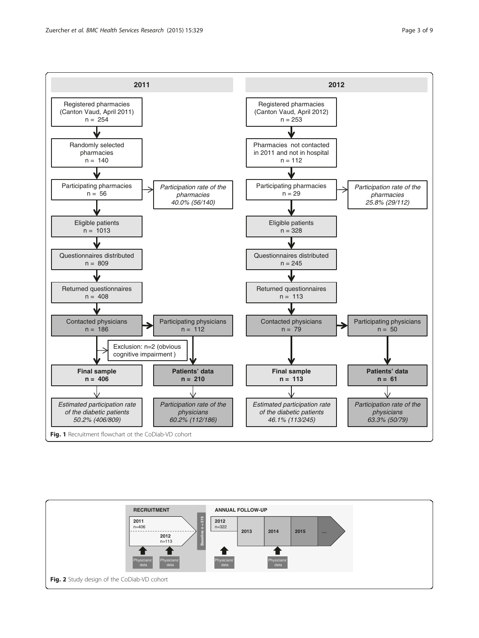<span id="page-2-0"></span>

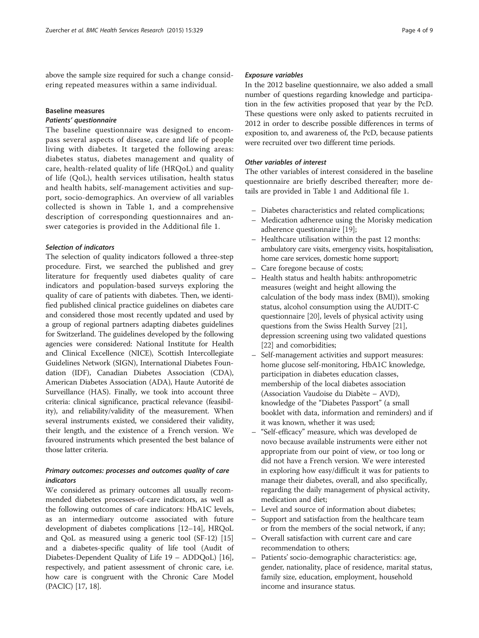above the sample size required for such a change considering repeated measures within a same individual.

## Baseline measures

#### Patients' questionnaire

The baseline questionnaire was designed to encompass several aspects of disease, care and life of people living with diabetes. It targeted the following areas: diabetes status, diabetes management and quality of care, health-related quality of life (HRQoL) and quality of life (QoL), health services utilisation, health status and health habits, self-management activities and support, socio-demographics. An overview of all variables collected is shown in Table [1,](#page-4-0) and a comprehensive description of corresponding questionnaires and answer categories is provided in the Additional file [1](#page-7-0).

## Selection of indicators

The selection of quality indicators followed a three-step procedure. First, we searched the published and grey literature for frequently used diabetes quality of care indicators and population-based surveys exploring the quality of care of patients with diabetes. Then, we identified published clinical practice guidelines on diabetes care and considered those most recently updated and used by a group of regional partners adapting diabetes guidelines for Switzerland. The guidelines developed by the following agencies were considered: National Institute for Health and Clinical Excellence (NICE), Scottish Intercollegiate Guidelines Network (SIGN), International Diabetes Foundation (IDF), Canadian Diabetes Association (CDA), American Diabetes Association (ADA), Haute Autorité de Surveillance (HAS). Finally, we took into account three criteria: clinical significance, practical relevance (feasibility), and reliability/validity of the measurement. When several instruments existed, we considered their validity, their length, and the existence of a French version. We favoured instruments which presented the best balance of those latter criteria.

# Primary outcomes: processes and outcomes quality of care indicators

We considered as primary outcomes all usually recommended diabetes processes-of-care indicators, as well as the following outcomes of care indicators: HbA1C levels, as an intermediary outcome associated with future development of diabetes complications [\[12](#page-7-0)–[14\]](#page-7-0), HRQoL and QoL as measured using a generic tool (SF-12) [[15](#page-7-0)] and a diabetes-specific quality of life tool (Audit of Diabetes-Dependent Quality of Life 19 – ADDQoL) [[16](#page-7-0)], respectively, and patient assessment of chronic care, i.e. how care is congruent with the Chronic Care Model (PACIC) [[17](#page-7-0), [18\]](#page-7-0).

#### Exposure variables

In the 2012 baseline questionnaire, we also added a small number of questions regarding knowledge and participation in the few activities proposed that year by the PcD. These questions were only asked to patients recruited in 2012 in order to describe possible differences in terms of exposition to, and awareness of, the PcD, because patients were recruited over two different time periods.

# Other variables of interest

The other variables of interest considered in the baseline questionnaire are briefly described thereafter; more details are provided in Table [1](#page-4-0) and Additional file [1](#page-7-0).

- Diabetes characteristics and related complications;
- Medication adherence using the Morisky medication adherence questionnaire [[19\]](#page-7-0);
- Healthcare utilisation within the past 12 months: ambulatory care visits, emergency visits, hospitalisation, home care services, domestic home support;
- Care foregone because of costs;
- Health status and health habits: anthropometric measures (weight and height allowing the calculation of the body mass index (BMI)), smoking status, alcohol consumption using the AUDIT-C questionnaire [\[20\]](#page-7-0), levels of physical activity using questions from the Swiss Health Survey [\[21](#page-7-0)], depression screening using two validated questions [[22](#page-7-0)] and comorbidities;
- Self-management activities and support measures: home glucose self-monitoring, HbA1C knowledge, participation in diabetes education classes, membership of the local diabetes association (Association Vaudoise du Diabète – AVD), knowledge of the "Diabetes Passport" (a small booklet with data, information and reminders) and if it was known, whether it was used;
- "Self-efficacy" measure, which was developed de novo because available instruments were either not appropriate from our point of view, or too long or did not have a French version. We were interested in exploring how easy/difficult it was for patients to manage their diabetes, overall, and also specifically, regarding the daily management of physical activity, medication and diet;
- Level and source of information about diabetes;
- Support and satisfaction from the healthcare team or from the members of the social network, if any;
- Overall satisfaction with current care and care recommendation to others;
- Patients' socio-demographic characteristics: age, gender, nationality, place of residence, marital status, family size, education, employment, household income and insurance status.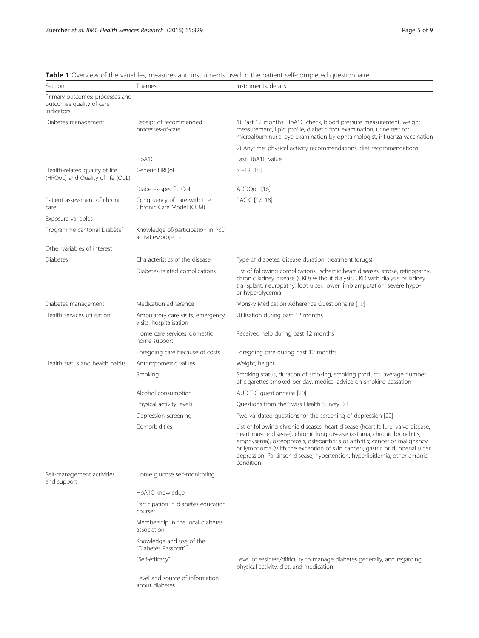| Section                                                                   | Themes                                                       | Instruments, details                                                                                                                                                                                                                                                                                                                                                                                                  |
|---------------------------------------------------------------------------|--------------------------------------------------------------|-----------------------------------------------------------------------------------------------------------------------------------------------------------------------------------------------------------------------------------------------------------------------------------------------------------------------------------------------------------------------------------------------------------------------|
| Primary outcomes: processes and<br>outcomes quality of care<br>indicators |                                                              |                                                                                                                                                                                                                                                                                                                                                                                                                       |
| Diabetes management                                                       | Receipt of recommended<br>processes-of-care                  | 1) Past 12 months: HbA1C check, blood pressure measurement, weight<br>measurement, lipid profile, diabetic foot examination, urine test for<br>microalbuminuria, eye examination by ophtalmologist, influenza vaccination                                                                                                                                                                                             |
|                                                                           |                                                              | 2) Anytime: physical activity recommendations, diet recommendations                                                                                                                                                                                                                                                                                                                                                   |
|                                                                           | HbA1C                                                        | Last HbA1C value                                                                                                                                                                                                                                                                                                                                                                                                      |
| Health-related quality of life<br>(HRQoL) and Quality of life (QoL)       | Generic HROoL                                                | SF-12 [15]                                                                                                                                                                                                                                                                                                                                                                                                            |
|                                                                           | Diabetes-specific QoL                                        | ADDQoL [16]                                                                                                                                                                                                                                                                                                                                                                                                           |
| Patient assessment of chronic<br>care                                     | Congruency of care with the<br>Chronic Care Model (CCM)      | PACIC [17, 18]                                                                                                                                                                                                                                                                                                                                                                                                        |
| Exposure variables                                                        |                                                              |                                                                                                                                                                                                                                                                                                                                                                                                                       |
| Programme cantonal Diabète <sup>a</sup>                                   | Knowledge of/participation in PcD<br>activities/projects     |                                                                                                                                                                                                                                                                                                                                                                                                                       |
| Other variables of interest                                               |                                                              |                                                                                                                                                                                                                                                                                                                                                                                                                       |
| Diabetes                                                                  | Characteristics of the disease                               | Type of diabetes, disease duration, treatment (drugs)                                                                                                                                                                                                                                                                                                                                                                 |
|                                                                           | Diabetes-related complications                               | List of following complications: ischemic heart diseases, stroke, retinopathy,<br>chronic kidney disease (CKD) without dialysis, CKD with dialysis or kidney<br>transplant, neuropathy, foot ulcer, lower limb amputation, severe hypo-<br>or hyperglycemia                                                                                                                                                           |
| Diabetes management                                                       | Medication adherence                                         | Morisky Medication Adherence Questionnaire [19]                                                                                                                                                                                                                                                                                                                                                                       |
| Health services utilisation                                               | Ambulatory care visits, emergency<br>visits, hospitalisation | Utilisation during past 12 months                                                                                                                                                                                                                                                                                                                                                                                     |
|                                                                           | Home care services, domestic<br>home support                 | Received help during past 12 months                                                                                                                                                                                                                                                                                                                                                                                   |
|                                                                           | Foregoing care because of costs                              | Foregoing care during past 12 months                                                                                                                                                                                                                                                                                                                                                                                  |
| Health status and health habits                                           | Anthropometric values                                        | Weight, height                                                                                                                                                                                                                                                                                                                                                                                                        |
|                                                                           | Smoking                                                      | Smoking status, duration of smoking, smoking products, average number<br>of cigarettes smoked per day, medical advice on smoking cessation                                                                                                                                                                                                                                                                            |
|                                                                           | Alcohol consumption                                          | AUDIT-C questionnaire [20]                                                                                                                                                                                                                                                                                                                                                                                            |
|                                                                           | Physical activity levels                                     | Questions from the Swiss Health Survey [21]                                                                                                                                                                                                                                                                                                                                                                           |
|                                                                           | Depression screening                                         | Two validated questions for the screening of depression [22]                                                                                                                                                                                                                                                                                                                                                          |
|                                                                           | Comorbidities                                                | List of following chronic diseases: heart disease (heart failure, valve disease,<br>heart muscle disease), chronic lung disease (asthma, chronic bronchitis,<br>emphysema), osteoporosis, osteoarthritis or arthritis; cancer or malignancy<br>or lymphoma (with the exception of skin cancer), gastric or duodenal ulcer,<br>depression, Parkinson disease, hypertension, hyperlipidemia, other chronic<br>condition |
| Self-management activities<br>and support                                 | Home glucose self-monitoring                                 |                                                                                                                                                                                                                                                                                                                                                                                                                       |
|                                                                           | HbA1C knowledge                                              |                                                                                                                                                                                                                                                                                                                                                                                                                       |
|                                                                           | Participation in diabetes education<br>courses               |                                                                                                                                                                                                                                                                                                                                                                                                                       |
|                                                                           | Membership in the local diabetes<br>association              |                                                                                                                                                                                                                                                                                                                                                                                                                       |
|                                                                           | Knowledge and use of the<br>"Diabetes Passport" <sup>b</sup> |                                                                                                                                                                                                                                                                                                                                                                                                                       |
|                                                                           | "Self-efficacy"                                              | Level of easiness/difficulty to manage diabetes generally, and regarding<br>physical activity, diet, and medication                                                                                                                                                                                                                                                                                                   |
|                                                                           | Level and source of information<br>about diabetes            |                                                                                                                                                                                                                                                                                                                                                                                                                       |

# <span id="page-4-0"></span>**Table 1** Overview of the variables, measures and instruments used in the patient self-completed questionnaire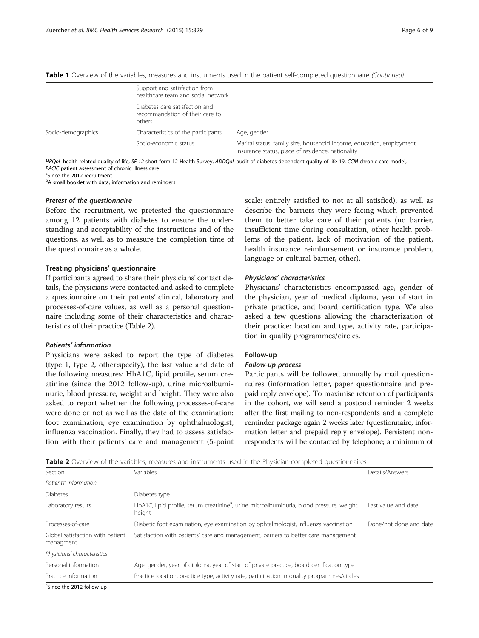|                    | Support and satisfaction from<br>healthcare team and social network         |                                                                                                                            |
|--------------------|-----------------------------------------------------------------------------|----------------------------------------------------------------------------------------------------------------------------|
|                    | Diabetes care satisfaction and<br>recommandation of their care to<br>others |                                                                                                                            |
| Socio-demographics | Characteristics of the participants                                         | Age, gender                                                                                                                |
|                    | Socio-economic status                                                       | Marital status, family size, household income, education, employment,<br>insurance status, place of residence, nationality |

Table 1 Overview of the variables, measures and instruments used in the patient self-completed questionnaire (Continued)

HRQoL health-related quality of life, SF-12 short form-12 Health Survey, ADDQoL audit of diabetes-dependent quality of life 19, CCM chronic care model, PACIC patient assessment of chronic illness care

a<br>Since the 2012 recruitment

<sup>b</sup>A small booklet with data, information and reminders

# Pretest of the questionnaire

Before the recruitment, we pretested the questionnaire among 12 patients with diabetes to ensure the understanding and acceptability of the instructions and of the questions, as well as to measure the completion time of the questionnaire as a whole.

#### Treating physicians' questionnaire

If participants agreed to share their physicians' contact details, the physicians were contacted and asked to complete a questionnaire on their patients' clinical, laboratory and processes-of-care values, as well as a personal questionnaire including some of their characteristics and characteristics of their practice (Table 2).

#### Patients' information

Physicians were asked to report the type of diabetes (type 1, type 2, other:specify), the last value and date of the following measures: HbA1C, lipid profile, serum creatinine (since the 2012 follow-up), urine microalbuminurie, blood pressure, weight and height. They were also asked to report whether the following processes-of-care were done or not as well as the date of the examination: foot examination, eye examination by ophthalmologist, influenza vaccination. Finally, they had to assess satisfaction with their patients' care and management (5-point

scale: entirely satisfied to not at all satisfied), as well as describe the barriers they were facing which prevented them to better take care of their patients (no barrier, insufficient time during consultation, other health problems of the patient, lack of motivation of the patient, health insurance reimbursement or insurance problem, language or cultural barrier, other).

#### Physicians' characteristics

Physicians' characteristics encompassed age, gender of the physician, year of medical diploma, year of start in private practice, and board certification type. We also asked a few questions allowing the characterization of their practice: location and type, activity rate, participation in quality programmes/circles.

#### Follow-up

#### Follow-up process

Participants will be followed annually by mail questionnaires (information letter, paper questionnaire and prepaid reply envelope). To maximise retention of participants in the cohort, we will send a postcard reminder 2 weeks after the first mailing to non-respondents and a complete reminder package again 2 weeks later (questionnaire, information letter and prepaid reply envelope). Persistent nonrespondents will be contacted by telephone; a minimum of

Table 2 Overview of the variables, measures and instruments used in the Physician-completed questionnaires

| Section                                       | Variables                                                                                                       | Details/Answers        |  |  |
|-----------------------------------------------|-----------------------------------------------------------------------------------------------------------------|------------------------|--|--|
| Patients' information                         |                                                                                                                 |                        |  |  |
| <b>Diabetes</b>                               | Diabetes type                                                                                                   |                        |  |  |
| Laboratory results                            | HbA1C, lipid profile, serum creatinine <sup>a</sup> , urine microalbuminuria, blood pressure, weight,<br>height | Last value and date    |  |  |
| Processes-of-care                             | Diabetic foot examination, eye examination by ophtalmologist, influenza vaccination                             | Done/not done and date |  |  |
| Global satisfaction with patient<br>managment | Satisfaction with patients' care and management, barriers to better care management                             |                        |  |  |
| Physicians' characteristics                   |                                                                                                                 |                        |  |  |
| Personal information                          | Age, gender, year of diploma, year of start of private practice, board certification type                       |                        |  |  |
| Practice information                          | Practice location, practice type, activity rate, participation in quality programmes/circles                    |                        |  |  |
| $\partial C$ , it is not a filled in the same |                                                                                                                 |                        |  |  |

<sup>a</sup>Since the 2012 follow-up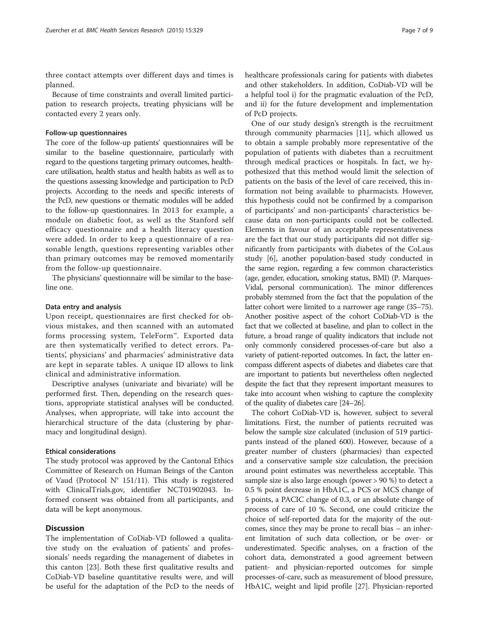three contact attempts over different days and times is planned.

Because of time constraints and overall limited participation to research projects, treating physicians will be contacted every 2 years only.

#### Follow-up questionnaires

The core of the follow-up patients' questionnaires will be similar to the baseline questionnaire, particularly with regard to the questions targeting primary outcomes, healthcare utilisation, health status and health habits as well as to the questions assessing knowledge and participation to PcD projects. According to the needs and specific interests of the PcD, new questions or thematic modules will be added to the follow-up questionnaires. In 2013 for example, a module on diabetic foot, as well as the Stanford self efficacy questionnaire and a health literacy question were added. In order to keep a questionnaire of a reasonable length, questions representing variables other than primary outcomes may be removed momentarily from the follow-up questionnaire.

The physicians' questionnaire will be similar to the baseline one.

## Data entry and analysis

Upon receipt, questionnaires are first checked for obvious mistakes, and then scanned with an automated forms processing system, TeleForm™. Exported data are then systematically verified to detect errors. Patients', physicians' and pharmacies' administrative data are kept in separate tables. A unique ID allows to link clinical and administrative information.

Descriptive analyses (univariate and bivariate) will be performed first. Then, depending on the research questions, appropriate statistical analyses will be conducted. Analyses, when appropriate, will take into account the hierarchical structure of the data (clustering by pharmacy and longitudinal design).

# Ethical considerations

The study protocol was approved by the Cantonal Ethics Committee of Research on Human Beings of the Canton of Vaud (Protocol  $N^{\circ}$  151/11). This study is registered with ClinicalTrials.gov, identifier NCT01902043. Informed consent was obtained from all participants, and data will be kept anonymous.

# **Discussion**

The implementation of CoDiab-VD followed a qualitative study on the evaluation of patients' and professionals' needs regarding the management of diabetes in this canton [[23](#page-8-0)]. Both these first qualitative results and CoDiab-VD baseline quantitative results were, and will be useful for the adaptation of the PcD to the needs of healthcare professionals caring for patients with diabetes and other stakeholders. In addition, CoDiab-VD will be a helpful tool i) for the pragmatic evaluation of the PcD, and ii) for the future development and implementation of PcD projects.

One of our study design's strength is the recruitment through community pharmacies [\[11\]](#page-7-0), which allowed us to obtain a sample probably more representative of the population of patients with diabetes than a recruitment through medical practices or hospitals. In fact, we hypothesized that this method would limit the selection of patients on the basis of the level of care received, this information not being available to pharmacists. However, this hypothesis could not be confirmed by a comparison of participants' and non-participants' characteristics because data on non-participants could not be collected. Elements in favour of an acceptable representativeness are the fact that our study participants did not differ significantly from participants with diabetes of the CoLaus study [\[6](#page-7-0)], another population-based study conducted in the same region, regarding a few common characteristics (age, gender, education, smoking status, BMI) (P. Marques-Vidal, personal communication). The minor differences probably stemmed from the fact that the population of the latter cohort were limited to a narrower age range (35–75). Another positive aspect of the cohort CoDiab-VD is the fact that we collected at baseline, and plan to collect in the future, a broad range of quality indicators that include not only commonly considered processes-of-care but also a variety of patient-reported outcomes. In fact, the latter encompass different aspects of diabetes and diabetes care that are important to patients but nevertheless often neglected despite the fact that they represent important measures to take into account when wishing to capture the complexity of the quality of diabetes care [\[24](#page-8-0)–[26\]](#page-8-0).

The cohort CoDiab-VD is, however, subject to several limitations. First, the number of patients recruited was below the sample size calculated (inclusion of 519 participants instead of the planed 600). However, because of a greater number of clusters (pharmacies) than expected and a conservative sample size calculation, the precision around point estimates was nevertheless acceptable. This sample size is also large enough (power > 90 %) to detect a 0.5 % point decrease in HbA1C, a PCS or MCS change of 5 points, a PACIC change of 0.3, or an absolute change of process of care of 10 %. Second, one could criticize the choice of self-reported data for the majority of the outcomes, since they may be prone to recall bias – an inherent limitation of such data collection, or be over- or underestimated. Specific analyses, on a fraction of the cohort data, demonstrated a good agreement between patient- and physician-reported outcomes for simple processes-of-care, such as measurement of blood pressure, HbA1C, weight and lipid profile [[27](#page-8-0)]. Physician-reported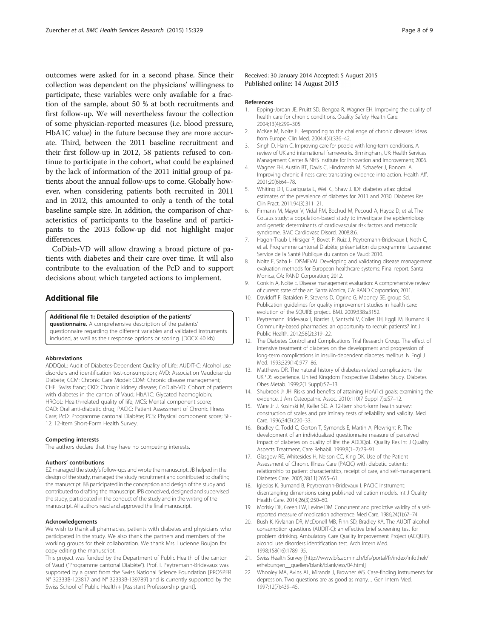<span id="page-7-0"></span>outcomes were asked for in a second phase. Since their collection was dependent on the physicians' willingness to participate, these variables were only available for a fraction of the sample, about 50 % at both recruitments and first follow-up. We will nevertheless favour the collection of some physician-reported measures (i.e. blood pressure, HbA1C value) in the future because they are more accurate. Third, between the 2011 baseline recruitment and their first follow-up in 2012, 58 patients refused to continue to participate in the cohort, what could be explained by the lack of information of the 2011 initial group of patients about the annual follow-ups to come. Globally however, when considering patients both recruited in 2011 and in 2012, this amounted to only a tenth of the total baseline sample size. In addition, the comparison of characteristics of participants to the baseline and of participants to the 2013 follow-up did not highlight major differences.

CoDiab-VD will allow drawing a broad picture of patients with diabetes and their care over time. It will also contribute to the evaluation of the PcD and to support decisions about which targeted actions to implement.

# Additional file

[Additional file 1:](http://www.biomedcentral.com/content/supplementary/s12913-015-0991-0-s1.docx) Detailed description of the patients'

**questionnaire.** A comprehensive description of the patients questionnaire regarding the different variables and validated instruments included, as well as their response options or scoring. (DOCX 40 kb)

#### Abbreviations

ADDQoL: Audit of Diabetes-Dependent Quality of Life; AUDIT-C: Alcohol use disorders and identification test-consumption; AVD: Association Vaudoise du Diabète; CCM: Chronic Care Model; CDM: Chronic disease management; CHF: Swiss franc; CKD: Chronic kidney disease; CoDiab-VD: Cohort of patients with diabetes in the canton of Vaud; HbA1C: Glycated haemoglobin; HRQoL: Health-related quality of life; MCS: Mental component score; OAD: Oral anti-diabetic drug; PACIC: Patient Assessment of Chronic Illness Care; PcD: Programme cantonal Diabète; PCS: Physical component score; SF-12: 12-Item Short-Form Health Survey.

#### Competing interests

The authors declare that they have no competing interests.

#### Authors' contributions

EZ managed the study's follow-ups and wrote the manuscript. JB helped in the design of the study, managed the study recruitment and contributed to drafting the manuscript. BB participated in the conception and design of the study and contributed to drafting the manuscript. IPB conceived, designed and supervised the study, participated in the conduct of the study and in the writing of the manuscript. All authors read and approved the final manuscript.

#### Acknowledgements

We wish to thank all pharmacies, patients with diabetes and physicians who participated in the study. We also thank the partners and members of the working groups for their collaboration. We thank Mrs. Lucienne Boujon for copy editing the manuscript.

This project was funded by the Department of Public Health of the canton of Vaud ("Programme cantonal Diabète"). Prof. I. Peytremann-Bridevaux was supported by a grant from the Swiss National Science Foundation [PROSPER N° 32333B-123817 and N° 32333B-139789] and is currently supported by the Swiss School of Public Health + [Assistant Professorship grant].

#### Received: 30 January 2014 Accepted: 5 August 2015 Published online: 14 August 2015

#### References

- 1. Epping-Jordan JE, Pruitt SD, Bengoa R, Wagner EH. Improving the quality of health care for chronic conditions. Quality Safety Health Care. 2004;13(4):299–305.
- 2. McKee M, Nolte E. Responding to the challenge of chronic diseases: ideas from Europe. Clin Med. 2004;4(4):336–42.
- 3. Singh D, Ham C. Improving care for people with long-term conditions. A review of UK and international frameworks. Birmingham, UK: Health Services Management Center & NHS Institute for Innovation and Improvement; 2006.
- 4. Wagner EH, Austin BT, Davis C, Hindmarsh M, Schaefer J, Bonomi A. Improving chronic illness care: translating evidence into action. Health Aff. 2001;20(6):64–78.
- 5. Whiting DR, Guariguata L, Weil C, Shaw J. IDF diabetes atlas: global estimates of the prevalence of diabetes for 2011 and 2030. Diabetes Res Clin Pract. 2011;94(3):311–21.
- 6. Firmann M, Mayor V, Vidal PM, Bochud M, Pecoud A, Hayoz D, et al. The CoLaus study: a population-based study to investigate the epidemiology and genetic determinants of cardiovascular risk factors and metabolic syndrome. BMC Cardiovasc Disord. 2008;8:6.
- 7. Hagon-Traub I, Hirsiger P, Bovet P, Ruiz J, Peytremann-Bridevaux I, Noth C, et al. Programme cantonal Diabète, présentation du programme. Lausanne: Service de la Santé Publique du canton de Vaud; 2010.
- 8. Nolte E, Saba H. DISMEVAL Developing and validating disease management evaluation methods for European healthcare systems: Final report. Santa Monica, CA: RAND Corporation; 2012.
- 9. Conklin A, Nolte E. Disease management evaluation: A comprehensive review of current state of the art. Santa Monica, CA: RAND Corporation; 2011.
- 10. Davidoff F, Batalden P, Stevens D, Ogrinc G, Mooney SE, group Sd. Publication guidelines for quality improvement studies in health care: evolution of the SQUIRE project. BMJ. 2009;338:a3152.
- 11. Peytremann Bridevaux I, Bordet J, Santschi V, Collet TH, Eggli M, Burnand B. Community-based pharmacies: an opportunity to recruit patients? Int J Public Health. 2012;58(2):319–22.
- 12. The Diabetes Control and Complications Trial Research Group. The effect of intensive treatment of diabetes on the development and progression of long-term complications in insulin-dependent diabetes mellitus. N Engl J Med. 1993;329(14):977–86.
- 13. Matthews DR. The natural history of diabetes-related complications: the UKPDS experience. United Kingdom Prospective Diabetes Study. Diabetes Obes Metab. 1999;2(1 Suppl):S7–13.
- 14. Shubrook Jr JH. Risks and benefits of attaining HbA(1c) goals: examining the evidence. J Am Osteopathic Assoc. 2010;110(7 Suppl 7):eS7–12.
- 15. Ware Jr J, Kosinski M, Keller SD. A 12-Item short-form health survey: construction of scales and preliminary tests of reliability and validity. Med Care. 1996;34(3):220–33.
- 16. Bradley C, Todd C, Gorton T, Symonds E, Martin A, Plowright R. The development of an individualized questionnaire measure of perceived impact of diabetes on quality of life: the ADDQoL. Quality Res Int J Quality Aspects Treatment, Care Rehabil. 1999;8(1–2):79–91.
- 17. Glasgow RE, Whitesides H, Nelson CC, King DK. Use of the Patient Assessment of Chronic Illness Care (PACIC) with diabetic patients: relationship to patient characteristics, receipt of care, and self-management. Diabetes Care. 2005;28(11):2655–61.
- 18. Iglesias K, Burnand B, Peytremann-Bridevaux I. PACIC Instrument: disentangling dimensions using published validation models. Int J Quality Health Care. 2014;26(3):250–60.
- 19. Morisky DE, Green LW, Levine DM. Concurrent and predictive validity of a selfreported measure of medication adherence. Med Care. 1986;24(1):67–74.
- 20. Bush K, Kivlahan DR, McDonell MB, Fihn SD, Bradley KA. The AUDIT alcohol consumption questions (AUDIT-C): an effective brief screening test for problem drinking. Ambulatory Care Quality Improvement Project (ACQUIP). alcohol use disorders identification test. Arch Intern Med. 1998;158(16):1789–95.
- 21. Swiss Health Survey [\[http://www.bfs.admin.ch/bfs/portal/fr/index/infothek/](http://www.bfs.admin.ch/bfs/portal/fr/index/infothek/erhebungen__quellen/blank/blank/ess/04.html) [erhebungen\\_\\_quellen/blank/blank/ess/04.html](http://www.bfs.admin.ch/bfs/portal/fr/index/infothek/erhebungen__quellen/blank/blank/ess/04.html)]
- 22. Whooley MA, Avins AL, Miranda J, Browner WS. Case-finding instruments for depression. Two questions are as good as many. J Gen Intern Med. 1997;12(7):439–45.